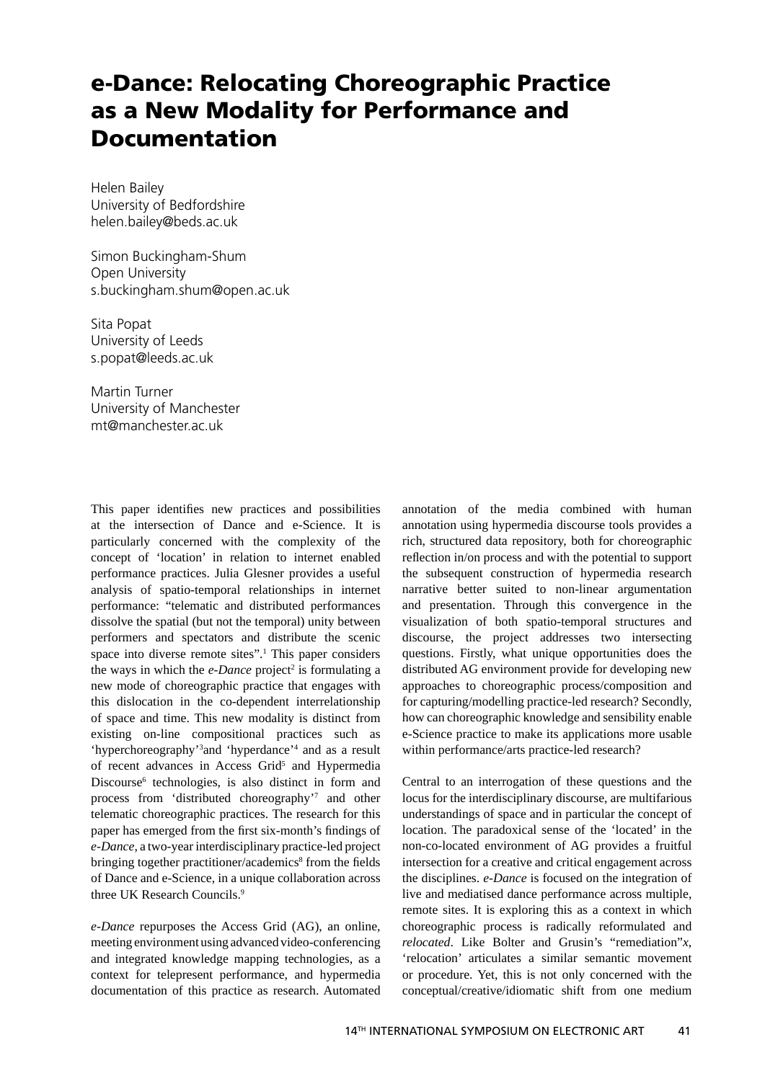## **e-Dance: Relocating Choreographic Practice as a New Modality for Performance and Documentation**

Helen Bailey University of Bedfordshire helen.bailey@beds.ac.uk

Simon Buckingham-Shum Open University s.buckingham.shum@open.ac.uk

Sita Popat University of Leeds s.popat@leeds.ac.uk

Martin Turner University of Manchester mt@manchester.ac.uk

This paper identifies new practices and possibilities at the intersection of Dance and e-Science. It is particularly concerned with the complexity of the concept of 'location' in relation to internet enabled performance practices. Julia Glesner provides a useful analysis of spatio-temporal relationships in internet performance: "telematic and distributed performances dissolve the spatial (but not the temporal) unity between performers and spectators and distribute the scenic space into diverse remote sites".<sup>1</sup> This paper considers the ways in which the  $e$ -Dance project<sup>2</sup> is formulating a new mode of choreographic practice that engages with this dislocation in the co-dependent interrelationship of space and time. This new modality is distinct from existing on-line compositional practices such as 'hyperchoreography'3 and 'hyperdance'4 and as a result of recent advances in Access Grid<sup>5</sup> and Hypermedia Discourse<sup>6</sup> technologies, is also distinct in form and process from 'distributed choreography'7 and other telematic choreographic practices. The research for this paper has emerged from the first six-month's findings of *e-Dance*, a two-year interdisciplinary practice-led project bringing together practitioner/academics<sup>8</sup> from the fields of Dance and e-Science, in a unique collaboration across three UK Research Councils.9

*e-Dance* repurposes the Access Grid (AG), an online, meeting environment using advanced video-conferencing and integrated knowledge mapping technologies, as a context for telepresent performance, and hypermedia documentation of this practice as research. Automated annotation of the media combined with human annotation using hypermedia discourse tools provides a rich, structured data repository, both for choreographic reflection in/on process and with the potential to support the subsequent construction of hypermedia research narrative better suited to non-linear argumentation and presentation. Through this convergence in the visualization of both spatio-temporal structures and discourse, the project addresses two intersecting questions. Firstly, what unique opportunities does the distributed AG environment provide for developing new approaches to choreographic process/composition and for capturing/modelling practice-led research? Secondly, how can choreographic knowledge and sensibility enable e-Science practice to make its applications more usable within performance/arts practice-led research?

Central to an interrogation of these questions and the locus for the interdisciplinary discourse, are multifarious understandings of space and in particular the concept of location. The paradoxical sense of the 'located' in the non-co-located environment of AG provides a fruitful intersection for a creative and critical engagement across the disciplines. *e-Dance* is focused on the integration of live and mediatised dance performance across multiple, remote sites. It is exploring this as a context in which choreographic process is radically reformulated and *relocated*. Like Bolter and Grusin's "remediation"*x*, 'relocation' articulates a similar semantic movement or procedure. Yet, this is not only concerned with the conceptual/creative/idiomatic shift from one medium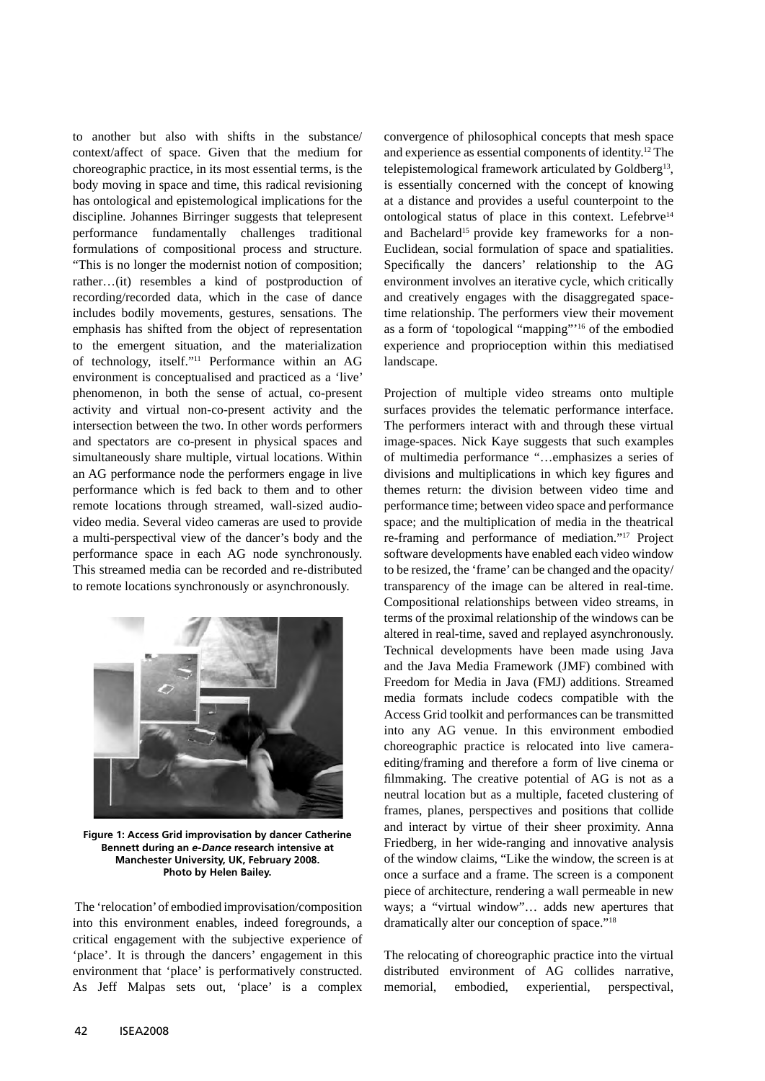to another but also with shifts in the substance/ context/affect of space. Given that the medium for choreographic practice, in its most essential terms, is the body moving in space and time, this radical revisioning has ontological and epistemological implications for the discipline. Johannes Birringer suggests that telepresent performance fundamentally challenges traditional formulations of compositional process and structure. "This is no longer the modernist notion of composition; rather…(it) resembles a kind of postproduction of recording/recorded data, which in the case of dance includes bodily movements, gestures, sensations. The emphasis has shifted from the object of representation to the emergent situation, and the materialization of technology, itself."11 Performance within an AG environment is conceptualised and practiced as a 'live' phenomenon, in both the sense of actual, co-present activity and virtual non-co-present activity and the intersection between the two. In other words performers and spectators are co-present in physical spaces and simultaneously share multiple, virtual locations. Within an AG performance node the performers engage in live performance which is fed back to them and to other remote locations through streamed, wall-sized audiovideo media. Several video cameras are used to provide a multi-perspectival view of the dancer's body and the performance space in each AG node synchronously. This streamed media can be recorded and re-distributed to remote locations synchronously or asynchronously.



**Figure 1: Access Grid improvisation by dancer Catherine Bennett during an** *e-Dance* **research intensive at Manchester University, UK, February 2008. Photo by Helen Bailey.**

 The 'relocation' of embodied improvisation/composition into this environment enables, indeed foregrounds, a critical engagement with the subjective experience of 'place'. It is through the dancers' engagement in this environment that 'place' is performatively constructed. As Jeff Malpas sets out, 'place' is a complex

convergence of philosophical concepts that mesh space and experience as essential components of identity.12 The telepistemological framework articulated by Goldberg<sup>13</sup>, is essentially concerned with the concept of knowing at a distance and provides a useful counterpoint to the ontological status of place in this context. Lefebrve<sup>14</sup> and Bachelard<sup>15</sup> provide key frameworks for a non-Euclidean, social formulation of space and spatialities. Specifically the dancers' relationship to the AG environment involves an iterative cycle, which critically and creatively engages with the disaggregated spacetime relationship. The performers view their movement as a form of 'topological "mapping"'16 of the embodied experience and proprioception within this mediatised landscape.

Projection of multiple video streams onto multiple surfaces provides the telematic performance interface. The performers interact with and through these virtual image-spaces. Nick Kaye suggests that such examples of multimedia performance "…emphasizes a series of divisions and multiplications in which key figures and themes return: the division between video time and performance time; between video space and performance space; and the multiplication of media in the theatrical re-framing and performance of mediation."17 Project software developments have enabled each video window to be resized, the 'frame' can be changed and the opacity/ transparency of the image can be altered in real-time. Compositional relationships between video streams, in terms of the proximal relationship of the windows can be altered in real-time, saved and replayed asynchronously. Technical developments have been made using Java and the Java Media Framework (JMF) combined with Freedom for Media in Java (FMJ) additions. Streamed media formats include codecs compatible with the Access Grid toolkit and performances can be transmitted into any AG venue. In this environment embodied choreographic practice is relocated into live cameraediting/framing and therefore a form of live cinema or filmmaking. The creative potential of AG is not as a neutral location but as a multiple, faceted clustering of frames, planes, perspectives and positions that collide and interact by virtue of their sheer proximity. Anna Friedberg, in her wide-ranging and innovative analysis of the window claims, "Like the window, the screen is at once a surface and a frame. The screen is a component piece of architecture, rendering a wall permeable in new ways; a "virtual window"… adds new apertures that dramatically alter our conception of space."18

The relocating of choreographic practice into the virtual distributed environment of AG collides narrative, memorial, embodied, experiential, perspectival,